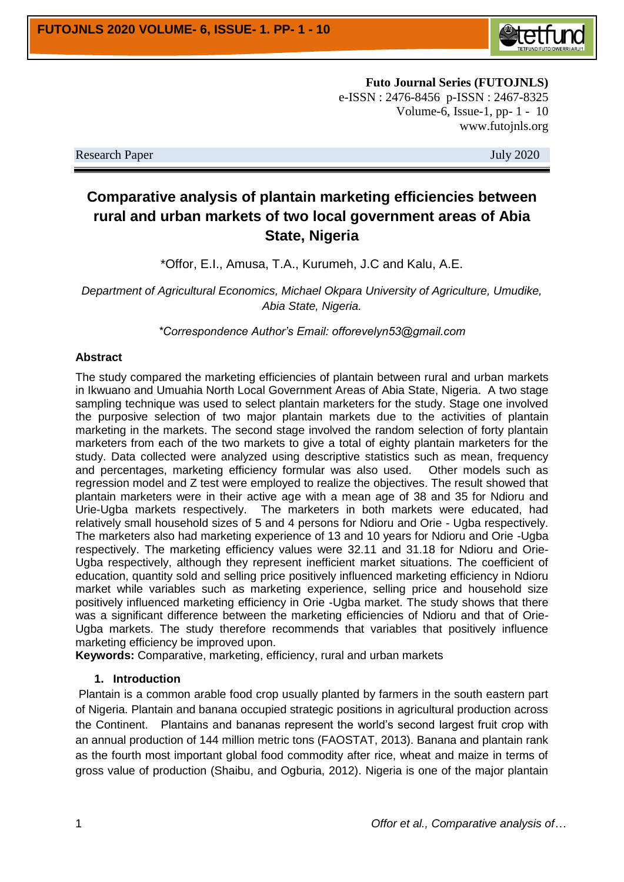

**Futo Journal Series (FUTOJNLS)** e-ISSN : 2476-8456 p-ISSN : 2467-8325 Volume-6, Issue-1, pp- 1 - 10 www.futojnls.org

Research Paper July 2020

# **Comparative analysis of plantain marketing efficiencies between rural and urban markets of two local government areas of Abia State, Nigeria**

\*Offor, E.I., Amusa, T.A., Kurumeh, J.C and Kalu, A.E.

*Department of Agricultural Economics, Michael Okpara University of Agriculture, Umudike, Abia State, Nigeria.*

*\*Correspondence Author's Email: offorevelyn53@gmail.com*

#### **Abstract**

The study compared the marketing efficiencies of plantain between rural and urban markets in Ikwuano and Umuahia North Local Government Areas of Abia State, Nigeria. A two stage sampling technique was used to select plantain marketers for the study. Stage one involved the purposive selection of two major plantain markets due to the activities of plantain marketing in the markets. The second stage involved the random selection of forty plantain marketers from each of the two markets to give a total of eighty plantain marketers for the study. Data collected were analyzed using descriptive statistics such as mean, frequency and percentages, marketing efficiency formular was also used. Other models such as regression model and Z test were employed to realize the objectives. The result showed that plantain marketers were in their active age with a mean age of 38 and 35 for Ndioru and Urie-Ugba markets respectively. The marketers in both markets were educated, had relatively small household sizes of 5 and 4 persons for Ndioru and Orie - Ugba respectively. The marketers also had marketing experience of 13 and 10 years for Ndioru and Orie -Ugba respectively. The marketing efficiency values were 32.11 and 31.18 for Ndioru and Orie-Ugba respectively, although they represent inefficient market situations. The coefficient of education, quantity sold and selling price positively influenced marketing efficiency in Ndioru market while variables such as marketing experience, selling price and household size positively influenced marketing efficiency in Orie -Ugba market. The study shows that there was a significant difference between the marketing efficiencies of Ndioru and that of Orie-Ugba markets. The study therefore recommends that variables that positively influence marketing efficiency be improved upon.

**Keywords:** Comparative, marketing, efficiency, rural and urban markets

#### **1. Introduction**

Plantain is a common arable food crop usually planted by farmers in the south eastern part of Nigeria. Plantain and banana occupied strategic positions in agricultural production across the Continent. Plantains and bananas represent the world's second largest fruit crop with an annual production of 144 million metric tons (FAOSTAT, 2013). Banana and plantain rank as the fourth most important global food commodity after rice, wheat and maize in terms of gross value of production (Shaibu, and Ogburia, 2012). Nigeria is one of the major plantain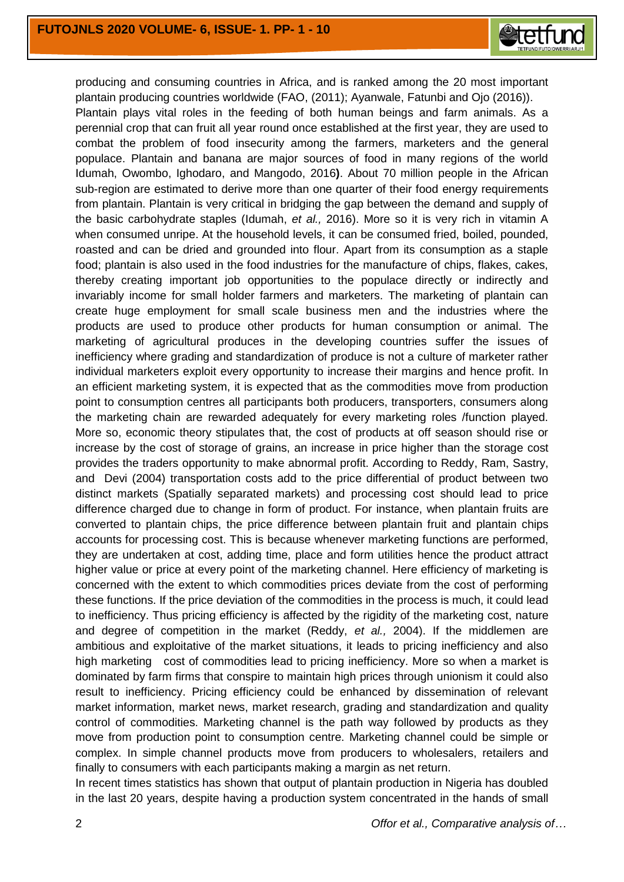

producing and consuming countries in Africa, and is ranked among the 20 most important plantain producing countries worldwide (FAO, (2011); Ayanwale, Fatunbi and Ojo (2016)). Plantain plays vital roles in the feeding of both human beings and farm animals. As a perennial crop that can fruit all year round once established at the first year, they are used to combat the problem of food insecurity among the farmers, marketers and the general populace. Plantain and banana are major sources of food in many regions of the world Idumah, Owombo, Ighodaro, and Mangodo, 2016**)**. About 70 million people in the African sub-region are estimated to derive more than one quarter of their food energy requirements from plantain. Plantain is very critical in bridging the gap between the demand and supply of the basic carbohydrate staples (Idumah, *et al.,* 2016). More so it is very rich in vitamin A when consumed unripe. At the household levels, it can be consumed fried, boiled, pounded, roasted and can be dried and grounded into flour. Apart from its consumption as a staple food; plantain is also used in the food industries for the manufacture of chips, flakes, cakes, thereby creating important job opportunities to the populace directly or indirectly and invariably income for small holder farmers and marketers. The marketing of plantain can create huge employment for small scale business men and the industries where the products are used to produce other products for human consumption or animal. The marketing of agricultural produces in the developing countries suffer the issues of inefficiency where grading and standardization of produce is not a culture of marketer rather individual marketers exploit every opportunity to increase their margins and hence profit. In an efficient marketing system, it is expected that as the commodities move from production point to consumption centres all participants both producers, transporters, consumers along the marketing chain are rewarded adequately for every marketing roles /function played. More so, economic theory stipulates that, the cost of products at off season should rise or increase by the cost of storage of grains, an increase in price higher than the storage cost provides the traders opportunity to make abnormal profit. According to Reddy, Ram, Sastry, and Devi (2004) transportation costs add to the price differential of product between two distinct markets (Spatially separated markets) and processing cost should lead to price difference charged due to change in form of product. For instance, when plantain fruits are converted to plantain chips, the price difference between plantain fruit and plantain chips accounts for processing cost. This is because whenever marketing functions are performed, they are undertaken at cost, adding time, place and form utilities hence the product attract higher value or price at every point of the marketing channel. Here efficiency of marketing is concerned with the extent to which commodities prices deviate from the cost of performing these functions. If the price deviation of the commodities in the process is much, it could lead to inefficiency. Thus pricing efficiency is affected by the rigidity of the marketing cost, nature and degree of competition in the market (Reddy, *et al.,* 2004). If the middlemen are ambitious and exploitative of the market situations, it leads to pricing inefficiency and also high marketing cost of commodities lead to pricing inefficiency. More so when a market is dominated by farm firms that conspire to maintain high prices through unionism it could also result to inefficiency. Pricing efficiency could be enhanced by dissemination of relevant market information, market news, market research, grading and standardization and quality control of commodities. Marketing channel is the path way followed by products as they move from production point to consumption centre. Marketing channel could be simple or complex. In simple channel products move from producers to wholesalers, retailers and finally to consumers with each participants making a margin as net return.

In recent times statistics has shown that output of plantain production in Nigeria has doubled in the last 20 years, despite having a production system concentrated in the hands of small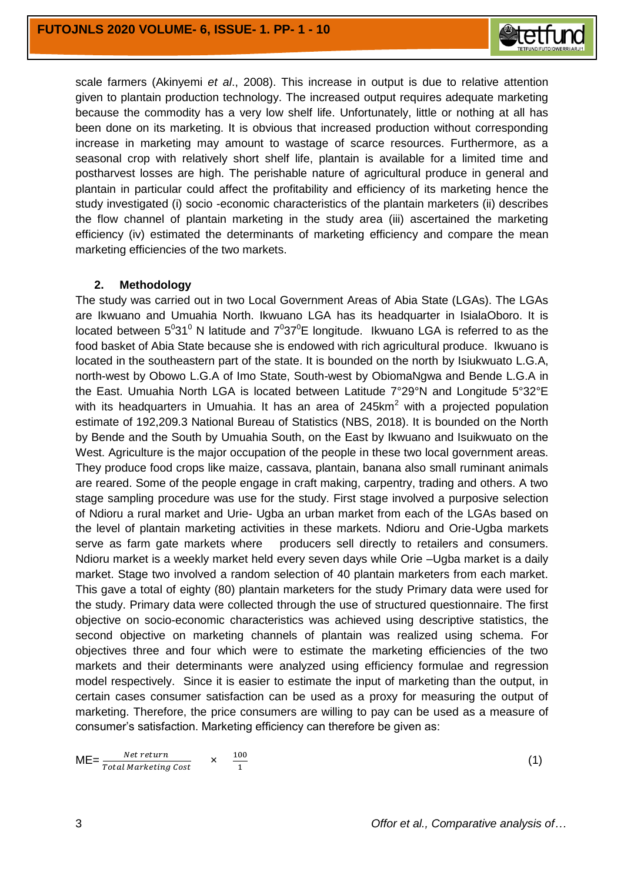

scale farmers (Akinyemi *et al*., 2008). This increase in output is due to relative attention given to plantain production technology. The increased output requires adequate marketing because the commodity has a very low shelf life. Unfortunately, little or nothing at all has been done on its marketing. It is obvious that increased production without corresponding increase in marketing may amount to wastage of scarce resources. Furthermore, as a seasonal crop with relatively short shelf life, plantain is available for a limited time and postharvest losses are high. The perishable nature of agricultural produce in general and plantain in particular could affect the profitability and efficiency of its marketing hence the study investigated (i) socio -economic characteristics of the plantain marketers (ii) describes the flow channel of plantain marketing in the study area (iii) ascertained the marketing efficiency (iv) estimated the determinants of marketing efficiency and compare the mean marketing efficiencies of the two markets.

### **2. Methodology**

The study was carried out in two Local Government Areas of Abia State (LGAs). The LGAs are Ikwuano and Umuahia North. Ikwuano LGA has its headquarter in IsialaOboro. It is located between  $5^031^0$  N latitude and  $7^037^0$ E longitude. Ikwuano LGA is referred to as the food basket of Abia State because she is endowed with rich agricultural produce. Ikwuano is located in the southeastern part of the state. It is bounded on the north by Isiukwuato L.G.A, north-west by Obowo L.G.A of Imo State, South-west by ObiomaNgwa and Bende L.G.A in the East. Umuahia North LGA is located between Latitude 7°29°N and Longitude 5°32°E with its headquarters in Umuahia. It has an area of  $245km<sup>2</sup>$  with a projected population estimate of 192,209.3 National Bureau of Statistics (NBS, 2018). It is bounded on the North by Bende and the South by Umuahia South, on the East by Ikwuano and Isuikwuato on the West. Agriculture is the major occupation of the people in these two local government areas. They produce food crops like maize, cassava, plantain, banana also small ruminant animals are reared. Some of the people engage in craft making, carpentry, trading and others. A two stage sampling procedure was use for the study. First stage involved a purposive selection of Ndioru a rural market and Urie- Ugba an urban market from each of the LGAs based on the level of plantain marketing activities in these markets. Ndioru and Orie-Ugba markets serve as farm gate markets where producers sell directly to retailers and consumers. Ndioru market is a weekly market held every seven days while Orie –Ugba market is a daily market. Stage two involved a random selection of 40 plantain marketers from each market. This gave a total of eighty (80) plantain marketers for the study Primary data were used for the study. Primary data were collected through the use of structured questionnaire. The first objective on socio-economic characteristics was achieved using descriptive statistics, the second objective on marketing channels of plantain was realized using schema. For objectives three and four which were to estimate the marketing efficiencies of the two markets and their determinants were analyzed using efficiency formulae and regression model respectively. Since it is easier to estimate the input of marketing than the output, in certain cases consumer satisfaction can be used as a proxy for measuring the output of marketing. Therefore, the price consumers are willing to pay can be used as a measure of consumer's satisfaction. Marketing efficiency can therefore be given as:

Net return 100  $ME = \frac{1}{T}$  ×  $\mathbf{1}$ 

(1)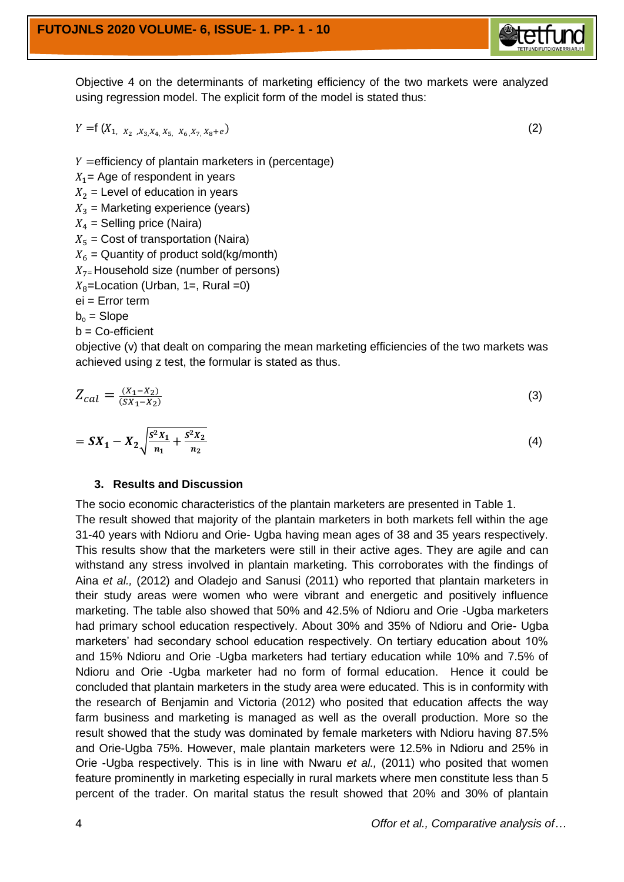Objective 4 on the determinants of marketing efficiency of the two markets were analyzed using regression model. The explicit form of the model is stated thus:

$$
Y = f(X_{1, X_2, X_3, X_4, X_5, X_6, X_7, X_8 + e})
$$
\n<sup>(2)</sup>

 $Y =$ efficiency of plantain marketers in (percentage)

- $X_1$  = Age of respondent in years
- $X_2$  = Level of education in years
- $X_3$  = Marketing experience (years)
- $X_4$  = Selling price (Naira)
- $X_5$  = Cost of transportation (Naira)

 $X_6$  = Quantity of product sold(kg/month)

 $X_{7}$ =Household size (number of persons)

$$
X_8
$$
=Location (Urban, 1=, Rural =0)

ei = Error term

 $b_0$  = Slope

 $b = Co\text{-efficient}$ 

objective (v) that dealt on comparing the mean marketing efficiencies of the two markets was achieved using z test, the formular is stated as thus.

$$
Z_{cal} = \frac{(X_1 - X_2)}{(SX_1 - X_2)}\tag{3}
$$

$$
= SX_1 - X_2 \sqrt{\frac{S^2 X_1}{n_1} + \frac{S^2 X_2}{n_2}}
$$
\n(4)

#### **3. Results and Discussion**

The socio economic characteristics of the plantain marketers are presented in Table 1. The result showed that majority of the plantain marketers in both markets fell within the age 31-40 years with Ndioru and Orie- Ugba having mean ages of 38 and 35 years respectively. This results show that the marketers were still in their active ages. They are agile and can withstand any stress involved in plantain marketing. This corroborates with the findings of Aina *et al.,* (2012) and Oladejo and Sanusi (2011) who reported that plantain marketers in their study areas were women who were vibrant and energetic and positively influence marketing. The table also showed that 50% and 42.5% of Ndioru and Orie -Ugba marketers had primary school education respectively. About 30% and 35% of Ndioru and Orie- Ugba marketers' had secondary school education respectively. On tertiary education about 10% and 15% Ndioru and Orie -Ugba marketers had tertiary education while 10% and 7.5% of Ndioru and Orie -Ugba marketer had no form of formal education. Hence it could be concluded that plantain marketers in the study area were educated. This is in conformity with the research of Benjamin and Victoria (2012) who posited that education affects the way farm business and marketing is managed as well as the overall production. More so the result showed that the study was dominated by female marketers with Ndioru having 87.5% and Orie-Ugba 75%. However, male plantain marketers were 12.5% in Ndioru and 25% in Orie -Ugba respectively. This is in line with Nwaru *et al.,* (2011) who posited that women feature prominently in marketing especially in rural markets where men constitute less than 5 percent of the trader. On marital status the result showed that 20% and 30% of plantain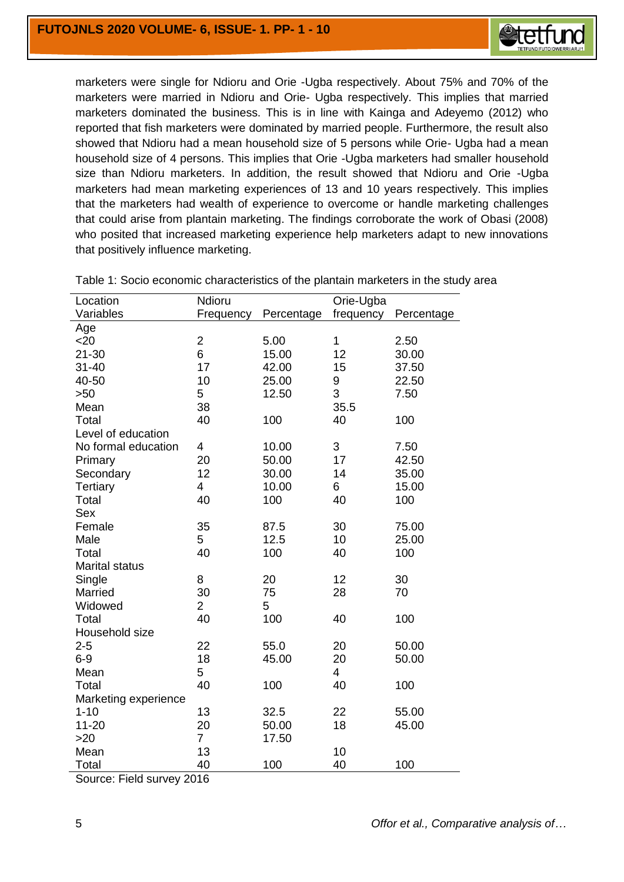

marketers were single for Ndioru and Orie -Ugba respectively. About 75% and 70% of the marketers were married in Ndioru and Orie- Ugba respectively. This implies that married marketers dominated the business. This is in line with Kainga and Adeyemo (2012) who reported that fish marketers were dominated by married people. Furthermore, the result also showed that Ndioru had a mean household size of 5 persons while Orie- Ugba had a mean household size of 4 persons. This implies that Orie -Ugba marketers had smaller household size than Ndioru marketers. In addition, the result showed that Ndioru and Orie -Ugba marketers had mean marketing experiences of 13 and 10 years respectively. This implies that the marketers had wealth of experience to overcome or handle marketing challenges that could arise from plantain marketing. The findings corroborate the work of Obasi (2008) who posited that increased marketing experience help marketers adapt to new innovations that positively influence marketing.

| Location              | Ndioru<br>Orie-Ugba |            |           |            |  |
|-----------------------|---------------------|------------|-----------|------------|--|
| Variables             | Frequency           | Percentage | frequency | Percentage |  |
| Age                   |                     |            |           |            |  |
| $20$                  | $\overline{c}$      | 5.00       | 1         | 2.50       |  |
| $21 - 30$             | 6                   | 15.00      | 12        | 30.00      |  |
| $31 - 40$             | 17                  | 42.00      | 15        | 37.50      |  |
| 40-50                 | 10                  | 25.00      | 9         | 22.50      |  |
| >50                   | 5                   | 12.50      | 3         | 7.50       |  |
| Mean                  | 38                  |            | 35.5      |            |  |
| Total                 | 40                  | 100        | 40        | 100        |  |
| Level of education    |                     |            |           |            |  |
| No formal education   | 4                   | 10.00      | 3         | 7.50       |  |
| Primary               | 20                  | 50.00      | 17        | 42.50      |  |
| Secondary             | 12                  | 30.00      | 14        | 35.00      |  |
| Tertiary              | 4                   | 10.00      | 6         | 15.00      |  |
| Total                 | 40                  | 100        | 40        | 100        |  |
| Sex                   |                     |            |           |            |  |
| Female                | 35                  | 87.5       | 30        | 75.00      |  |
| Male                  | 5                   | 12.5       | 10        | 25.00      |  |
| Total                 | 40                  | 100        | 40        | 100        |  |
| <b>Marital status</b> |                     |            |           |            |  |
| Single                | 8                   | 20         | 12        | 30         |  |
| Married               | 30                  | 75         | 28        | 70         |  |
| Widowed               | $\overline{2}$      | 5          |           |            |  |
| Total                 | 40                  | 100        | 40        | 100        |  |
| Household size        |                     |            |           |            |  |
| $2 - 5$               | 22                  | 55.0       | 20        | 50.00      |  |
| $6-9$                 | 18                  | 45.00      | 20        | 50.00      |  |
| Mean                  | 5                   |            | 4         |            |  |
| Total                 | 40                  | 100        | 40        | 100        |  |
| Marketing experience  |                     |            |           |            |  |
| $1 - 10$              | 13                  | 32.5       | 22        | 55.00      |  |
| $11 - 20$             | 20                  | 50.00      | 18        | 45.00      |  |
| >20                   | $\overline{7}$      | 17.50      |           |            |  |
| Mean                  | 13                  |            | 10        |            |  |
| Total                 | 40                  | 100        | 40        | 100        |  |

Table 1: Socio economic characteristics of the plantain marketers in the study area

Source: Field survey 2016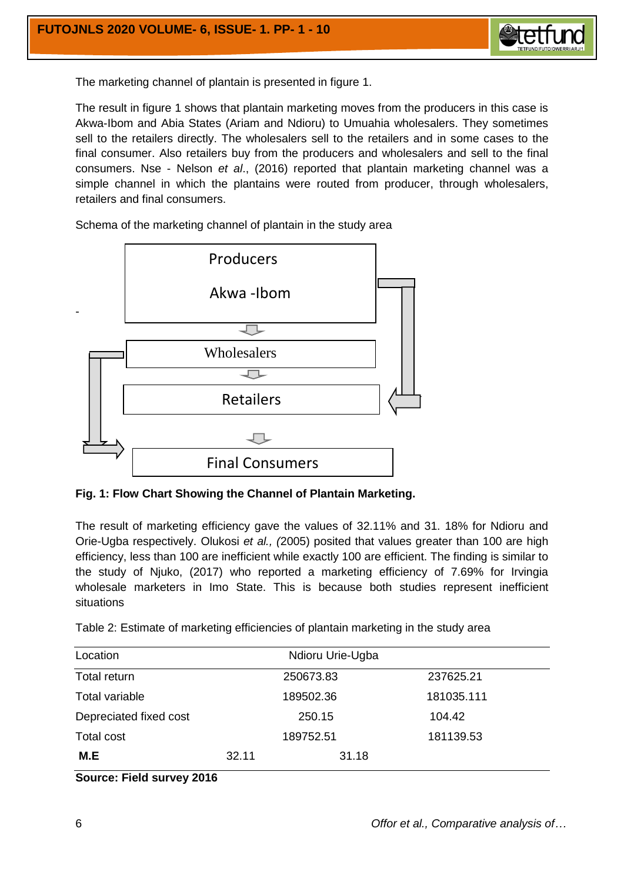

The marketing channel of plantain is presented in figure 1.

The result in figure 1 shows that plantain marketing moves from the producers in this case is Akwa-Ibom and Abia States (Ariam and Ndioru) to Umuahia wholesalers. They sometimes sell to the retailers directly. The wholesalers sell to the retailers and in some cases to the final consumer. Also retailers buy from the producers and wholesalers and sell to the final consumers. Nse - Nelson *et al*., (2016) reported that plantain marketing channel was a simple channel in which the plantains were routed from producer, through wholesalers, retailers and final consumers.



Schema of the marketing channel of plantain in the study area

**Fig. 1: Flow Chart Showing the Channel of Plantain Marketing.**

The result of marketing efficiency gave the values of 32.11% and 31. 18% for Ndioru and Orie-Ugba respectively. Olukosi *et al., (*2005) posited that values greater than 100 are high efficiency, less than 100 are inefficient while exactly 100 are efficient. The finding is similar to the study of Njuko, (2017) who reported a marketing efficiency of 7.69% for Irvingia wholesale marketers in Imo State. This is because both studies represent inefficient situations

Table 2: Estimate of marketing efficiencies of plantain marketing in the study area

| Location               |       | Ndioru Urie-Ugba |       |            |
|------------------------|-------|------------------|-------|------------|
| Total return           |       | 250673.83        |       | 237625.21  |
| Total variable         |       | 189502.36        |       | 181035.111 |
| Depreciated fixed cost |       | 250.15           |       | 104.42     |
| Total cost             |       | 189752.51        |       | 181139.53  |
| M.E                    | 32.11 |                  | 31.18 |            |

#### **Source: Field survey 2016**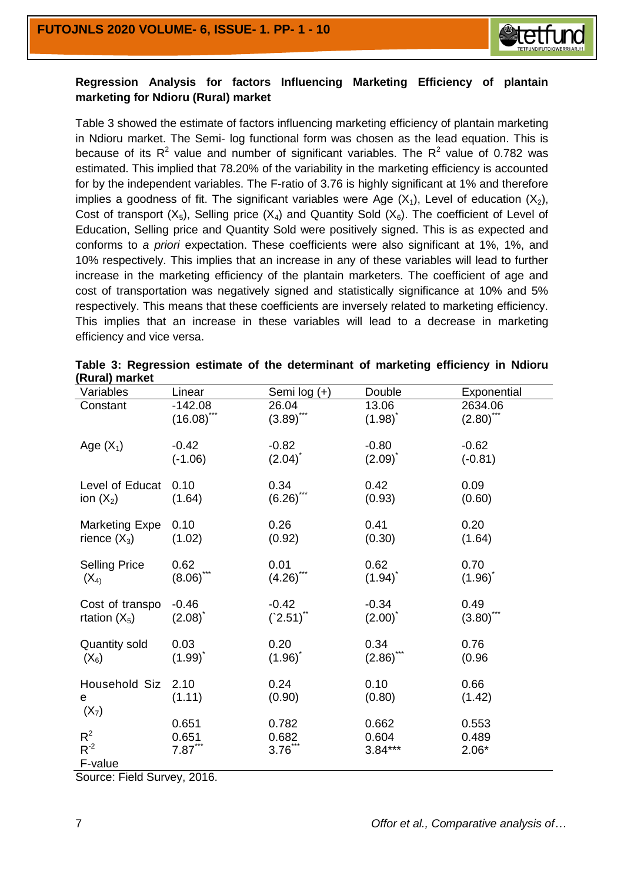

## **Regression Analysis for factors Influencing Marketing Efficiency of plantain marketing for Ndioru (Rural) market**

Table 3 showed the estimate of factors influencing marketing efficiency of plantain marketing in Ndioru market. The Semi- log functional form was chosen as the lead equation. This is because of its  $R^2$  value and number of significant variables. The  $R^2$  value of 0.782 was estimated. This implied that 78.20% of the variability in the marketing efficiency is accounted for by the independent variables. The F-ratio of 3.76 is highly significant at 1% and therefore implies a goodness of fit. The significant variables were Age  $(X_1)$ , Level of education  $(X_2)$ , Cost of transport  $(X_5)$ , Selling price  $(X_4)$  and Quantity Sold  $(X_6)$ . The coefficient of Level of Education, Selling price and Quantity Sold were positively signed. This is as expected and conforms to *a priori* expectation. These coefficients were also significant at 1%, 1%, and 10% respectively. This implies that an increase in any of these variables will lead to further increase in the marketing efficiency of the plantain marketers. The coefficient of age and cost of transportation was negatively signed and statistically significance at 10% and 5% respectively. This means that these coefficients are inversely related to marketing efficiency. This implies that an increase in these variables will lead to a decrease in marketing efficiency and vice versa.

| Variables             | Linear                     | Semi log (+)          | Double                | Exponential             |
|-----------------------|----------------------------|-----------------------|-----------------------|-------------------------|
| Constant              | $-142.08$<br>$(16.08)$ *** | 26.04<br>$(3.89)$ *** | 13.06<br>$(1.98)^{*}$ | 2634.06<br>$(2.80)$ *** |
|                       |                            |                       |                       |                         |
| Age $(X_1)$           | $-0.42$                    | $-0.82$               | $-0.80$               | $-0.62$                 |
|                       | $(-1.06)$                  | $(2.04)^{^{\circ}}$   | $(2.09)^{^{\circ}}$   | $(-0.81)$               |
| Level of Educat       | 0.10                       | 0.34                  | 0.42                  | 0.09                    |
| ion $(X_2)$           | (1.64)                     | $(6.26)$ ***          | (0.93)                | (0.60)                  |
| <b>Marketing Expe</b> | 0.10                       | 0.26                  | 0.41                  | 0.20                    |
| rience $(X_3)$        | (1.02)                     | (0.92)                | (0.30)                | (1.64)                  |
| <b>Selling Price</b>  | 0.62                       | 0.01                  | 0.62                  | 0.70                    |
| $(X_4)$               | $(8.06)$ ***               | $(4.26)$ ***          | $(1.94)^{^{\circ}}$   | $(1.96)^{^{\circ}}$     |
| Cost of transpo       | $-0.46$                    | $-0.42$               | $-0.34$               | 0.49                    |
| rtation $(X_5)$       | $(2.08)^{^{\circ}}$        | $(2.51)$ **           | $(2.00)^{^{\circ}}$   | $(3.80)$ ***            |
| <b>Quantity sold</b>  | 0.03                       | 0.20                  | 0.34                  | 0.76                    |
| $(X_6)$               | $(1.99)^{^{\circ}}$        | $(1.96)^{^{\circ}}$   | $(2.86)^{^{\circ}}$   | (0.96)                  |
| Household Siz         | 2.10                       | 0.24                  | 0.10                  | 0.66                    |
| e<br>$(X_7)$          | (1.11)                     | (0.90)                | (0.80)                | (1.42)                  |
|                       | 0.651                      | 0.782                 | 0.662                 | 0.553                   |
| $R^2$<br>$R^{-2}$     | 0.651                      | 0.682                 | 0.604                 | 0.489                   |
| F-value               | $7.87***$                  | $3.76***$             | $3.84***$             | $2.06*$                 |

| Table 3: Regression estimate of the determinant of marketing efficiency in Ndioru |  |  |  |  |
|-----------------------------------------------------------------------------------|--|--|--|--|
| (Rural) market                                                                    |  |  |  |  |

Source: Field Survey, 2016.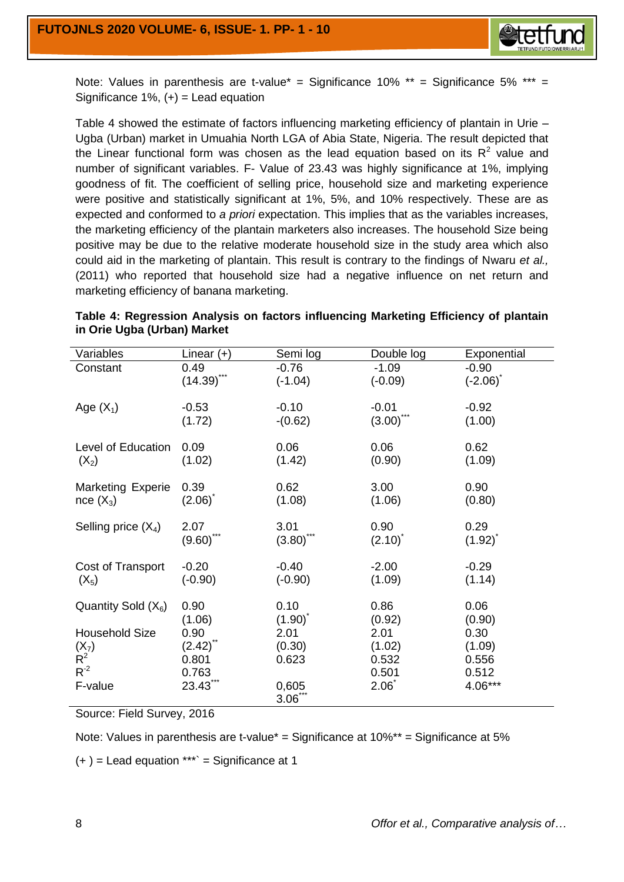

Note: Values in parenthesis are t-value<sup>\*</sup> = Significance 10%  $**$  = Significance 5% \*\*\* = Significance 1%,  $(+)$  = Lead equation

Table 4 showed the estimate of factors influencing marketing efficiency of plantain in Urie – Ugba (Urban) market in Umuahia North LGA of Abia State, Nigeria. The result depicted that the Linear functional form was chosen as the lead equation based on its  $R^2$  value and number of significant variables. F- Value of 23.43 was highly significance at 1%, implying goodness of fit. The coefficient of selling price, household size and marketing experience were positive and statistically significant at 1%, 5%, and 10% respectively. These are as expected and conformed to *a priori* expectation. This implies that as the variables increases, the marketing efficiency of the plantain marketers also increases. The household Size being positive may be due to the relative moderate household size in the study area which also could aid in the marketing of plantain. This result is contrary to the findings of Nwaru *et al.,* (2011) who reported that household size had a negative influence on net return and marketing efficiency of banana marketing.

| Variables                | Linear $(+)$        | Semi log              | Double log          | Exponential         |
|--------------------------|---------------------|-----------------------|---------------------|---------------------|
| Constant                 | 0.49                | $-0.76$               | $-1.09$             | $-0.90$             |
|                          | $(14.39)$ ***       | $(-1.04)$             | $(-0.09)$           | $(-2.06)^{\dagger}$ |
|                          |                     |                       |                     |                     |
| Age $(X_1)$              | $-0.53$             | $-0.10$               | $-0.01$             | $-0.92$             |
|                          | (1.72)              | $-(0.62)$             | (3.00)              | (1.00)              |
|                          |                     |                       |                     |                     |
| Level of Education       | 0.09                | 0.06                  | 0.06                | 0.62                |
| $(X_2)$                  | (1.02)              | (1.42)                | (0.90)              | (1.09)              |
|                          |                     |                       |                     |                     |
| <b>Marketing Experie</b> | 0.39                | 0.62                  | 3.00                | 0.90                |
| $nce(X_3)$               | $(2.06)^{^{\circ}}$ | (1.08)                | (1.06)              | (0.80)              |
|                          |                     |                       |                     |                     |
| Selling price $(X_4)$    | 2.07                | 3.01                  | 0.90                | 0.29                |
|                          | $(9.60)$ ***        | $(3.80)$ <sup>*</sup> | $(2.10)^{^{\circ}}$ | $(1.92)^{^{\circ}}$ |
|                          |                     |                       |                     |                     |
| Cost of Transport        | $-0.20$             | $-0.40$               | $-2.00$             | $-0.29$             |
| $(X_5)$                  | $(-0.90)$           | $(-0.90)$             | (1.09)              | (1.14)              |
|                          |                     |                       |                     |                     |
| Quantity Sold $(X_6)$    | 0.90                | 0.10                  | 0.86                | 0.06                |
|                          | (1.06)              | $(1.90)^{^{\circ}}$   | (0.92)              | (0.90)              |
| <b>Household Size</b>    | 0.90                | 2.01                  | 2.01                | 0.30                |
| $(X_7)$                  | $(2.42)$ **         | (0.30)                | (1.02)              | (1.09)              |
| $R^2$                    | 0.801               | 0.623                 | 0.532               | 0.556               |
| $R^{-2}$                 |                     |                       | 0.501               |                     |
|                          | 0.763<br>23.43***   |                       | $2.06^{\degree}$    | 0.512<br>4.06***    |
| F-value                  |                     | 0,605                 |                     |                     |
|                          |                     | $3.06***$             |                     |                     |

**Table 4: Regression Analysis on factors influencing Marketing Efficiency of plantain in Orie Ugba (Urban) Market**

Source: Field Survey, 2016

Note: Values in parenthesis are t-value\* = Significance at 10%\*\* = Significance at 5%

 $(+)$  = Lead equation \*\*\*` = Significance at 1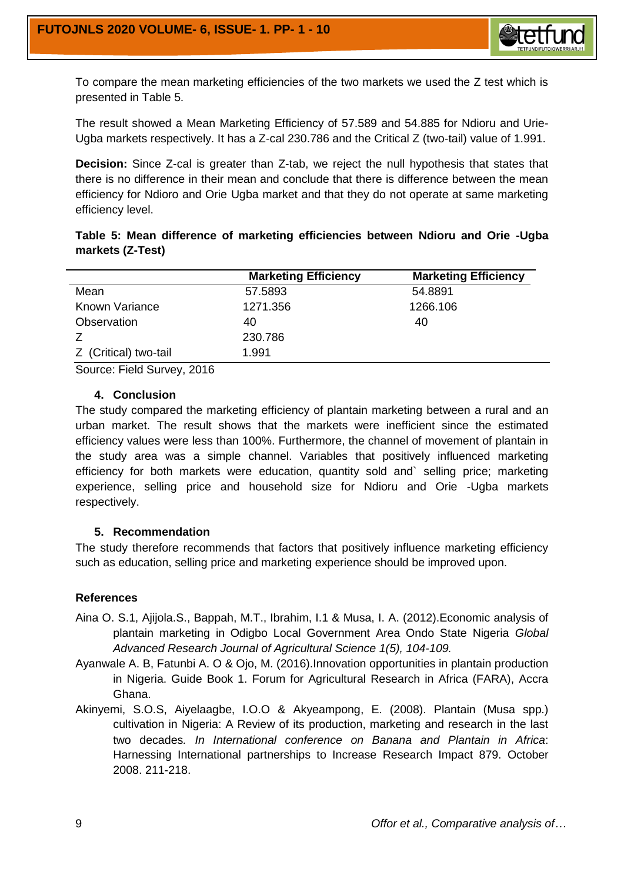

To compare the mean marketing efficiencies of the two markets we used the Z test which is presented in Table 5.

The result showed a Mean Marketing Efficiency of 57.589 and 54.885 for Ndioru and Urie-Ugba markets respectively. It has a Z-cal 230.786 and the Critical Z (two-tail) value of 1.991.

**Decision:** Since Z-cal is greater than Z-tab, we reject the null hypothesis that states that there is no difference in their mean and conclude that there is difference between the mean efficiency for Ndioro and Orie Ugba market and that they do not operate at same marketing efficiency level.

|                  |  |  | Table 5: Mean difference of marketing efficiencies between Ndioru and Orie -Ugba |  |  |  |
|------------------|--|--|----------------------------------------------------------------------------------|--|--|--|
| markets (Z-Test) |  |  |                                                                                  |  |  |  |

|                       | <b>Marketing Efficiency</b> | <b>Marketing Efficiency</b> |
|-----------------------|-----------------------------|-----------------------------|
| Mean                  | 57.5893                     | 54.8891                     |
| Known Variance        | 1271.356                    | 1266.106                    |
| Observation           | 40                          | 40                          |
|                       | 230.786                     |                             |
| Z (Critical) two-tail | 1.991                       |                             |
|                       |                             |                             |

Source: Field Survey, 2016

#### **4. Conclusion**

The study compared the marketing efficiency of plantain marketing between a rural and an urban market. The result shows that the markets were inefficient since the estimated efficiency values were less than 100%. Furthermore, the channel of movement of plantain in the study area was a simple channel. Variables that positively influenced marketing efficiency for both markets were education, quantity sold and` selling price; marketing experience, selling price and household size for Ndioru and Orie -Ugba markets respectively.

#### **5. Recommendation**

The study therefore recommends that factors that positively influence marketing efficiency such as education, selling price and marketing experience should be improved upon.

## **References**

- Aina O. S.1, Ajijola.S., Bappah, M.T., Ibrahim, I.1 & Musa, I. A. (2012).Economic analysis of plantain marketing in Odigbo Local Government Area Ondo State Nigeria *Global Advanced Research Journal of Agricultural Science 1(5), 104-109.*
- Ayanwale A. B, Fatunbi A. O & Ojo, M. (2016).Innovation opportunities in plantain production in Nigeria. Guide Book 1. Forum for Agricultural Research in Africa (FARA), Accra Ghana.
- Akinyemi, S.O.S, Aiyelaagbe, I.O.O & Akyeampong, E. (2008). Plantain (Musa spp.) cultivation in Nigeria: A Review of its production, marketing and research in the last two decades*. In International conference on Banana and Plantain in Africa*: Harnessing International partnerships to Increase Research Impact 879. October 2008. 211-218.